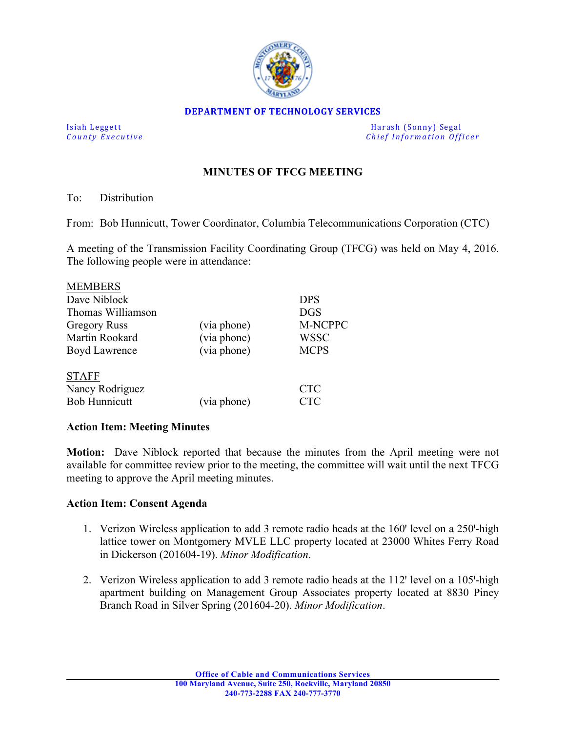

### **DEPARTMENT OF TECHNOLOGY SERVICES**

Isiah Leggett **Markows** Harash (Sonny) Segal County Executive and Sonny Segal County Executive and Sonny Segal County Executive and Sonny Segal County Executive and Sonny Segal County Executive and Sonny Segal County Execu *Chief Information Officer* 

# **MINUTES OF TFCG MEETING**

## To: Distribution

MEMBERS

From: Bob Hunnicutt, Tower Coordinator, Columbia Telecommunications Corporation (CTC)

A meeting of the Transmission Facility Coordinating Group (TFCG) was held on May 4, 2016. The following people were in attendance:

| <b>MEMBERS</b>       |             |             |
|----------------------|-------------|-------------|
| Dave Niblock         |             | <b>DPS</b>  |
| Thomas Williamson    |             | <b>DGS</b>  |
| <b>Gregory Russ</b>  | (via phone) | M-NCPPC     |
| Martin Rookard       | (via phone) | WSSC        |
| Boyd Lawrence        | (via phone) | <b>MCPS</b> |
| <b>STAFF</b>         |             |             |
| Nancy Rodriguez      |             | <b>CTC</b>  |
| <b>Bob Hunnicutt</b> | (via phone) | CTC         |

## **Action Item: Meeting Minutes**

**Motion:** Dave Niblock reported that because the minutes from the April meeting were not available for committee review prior to the meeting, the committee will wait until the next TFCG meeting to approve the April meeting minutes.

## **Action Item: Consent Agenda**

- 1. Verizon Wireless application to add 3 remote radio heads at the 160' level on a 250'-high lattice tower on Montgomery MVLE LLC property located at 23000 Whites Ferry Road in Dickerson (201604-19). *Minor Modification*.
- 2. Verizon Wireless application to add 3 remote radio heads at the  $112'$  level on a  $105'$ -high apartment building on Management Group Associates property located at 8830 Piney Branch Road in Silver Spring (201604-20). *Minor Modification*.